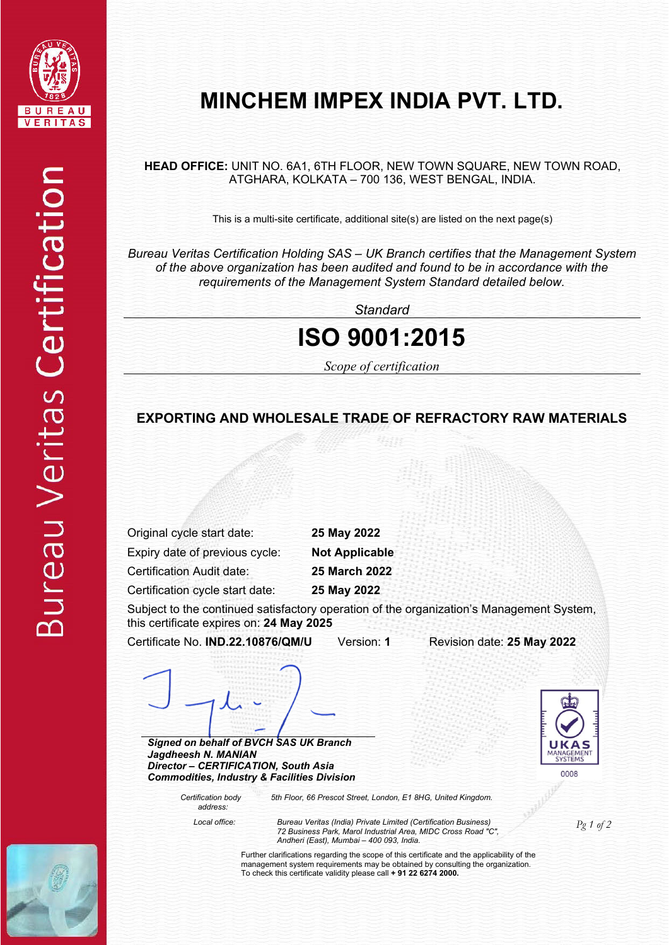

**HEAD OFFICE:** UNIT NO. 6A1, 6TH FLOOR, NEW TOWN SQUARE, NEW TOWN ROAD, ATGHARA, KOLKATA – 700 136, WEST BENGAL, INDIA.

This is a multi-site certificate, additional site(s) are listed on the next page(s)

*Bureau Veritas Certification Holding SAS – UK Branch certifies that the Management System of the above organization has been audited and found to be in accordance with the requirements of the Management System Standard detailed below.*

*Standard*

# **ISO 9001:2015**

*Scope of certification* 

### **EXPORTING AND WHOLESALE TRADE OF REFRACTORY RAW MATERIALS**

Original cycle start date: **25 May 2022** 

Expiry date of previous cycle: **Not Applicable** 

Certification Audit date: **25 March 2022** 

Certification cycle start date: **25 May 2022** 

Subject to the continued satisfactory operation of the organization's Management System, this certificate expires on: **24 May 2025**

Certificate No. **IND.22.10876/QM/U** Version: **1** Revision date: **25 May 2022**

*Signed on behalf of BVCH SAS UK Branch Jagdheesh N. MANIAN Director – CERTIFICATION, South Asia Commodities, Industry & Facilities Division* 

> *Certification body address:*

*5th Floor, 66 Prescot Street, London, E1 8HG, United Kingdom.* 

*Pg 1 of 2 Local office: Bureau Veritas (India) Private Limited (Certification Business) 72 Business Park, Marol Industrial Area, MIDC Cross Road "C", Andheri (East), Mumbai – 400 093, India.*

 $0008$ 

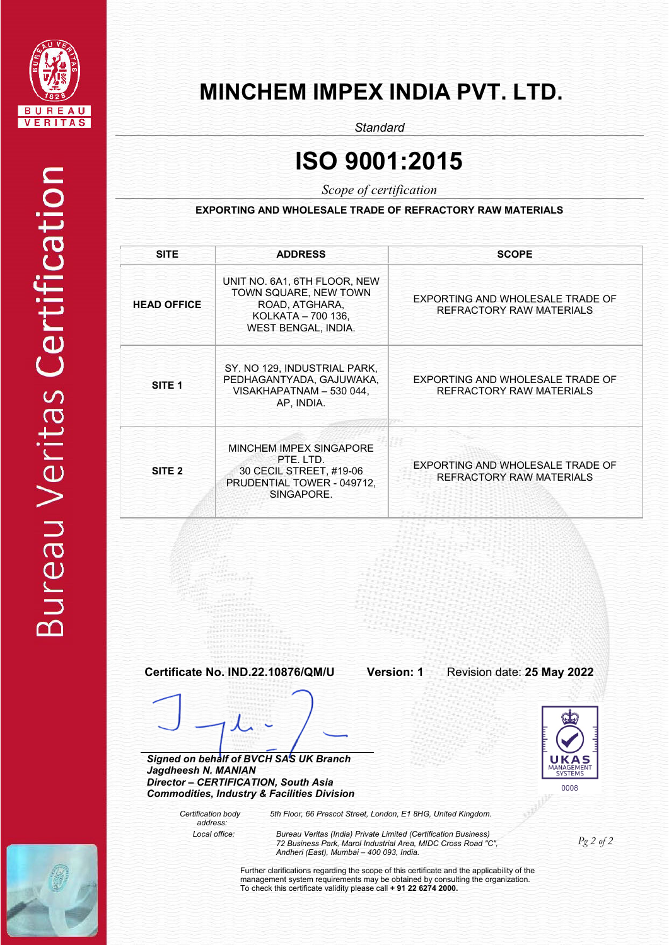

# **Bureau Veritas Certification**

# **MINCHEM IMPEX INDIA PVT. LTD.**

*Standard*

# **ISO 9001:2015**

*Scope of certification*

**EXPORTING AND WHOLESALE TRADE OF REFRACTORY RAW MATERIALS** 

| <b>SITE</b>         | <b>ADDRESS</b>                                                                                                                           | <b>SCOPE</b>                                                        |
|---------------------|------------------------------------------------------------------------------------------------------------------------------------------|---------------------------------------------------------------------|
| <b>HEAD OFFICE</b>  | UNIT NO. 6A1, 6TH FLOOR, NEW<br>TOWN SQUARE, NEW TOWN<br>ROAD, ATGHARA,<br>KOLKATA - 700 136,<br>WEST BENGAL, INDIA.                     | EXPORTING AND WHOLESALE TRADE OF<br>REFRACTORY RAW MATERIALS        |
| SITE <sub>1</sub>   | SY. NO 129, INDUSTRIAL PARK,<br>PEDHAGANTYADA, GAJUWAKA,<br>VISAKHAPATNAM - 530 044,<br>AP, INDIA.                                       | EXPORTING AND WHOLESALE TRADE OF<br>REFRACTORY RAW MATERIALS        |
| SITE <sub>2</sub>   | MINCHEM IMPEX SINGAPORE<br>PTE. LTD.<br>30 CECIL STREET, #19-06<br>PRUDENTIAL TOWER - 049712,<br>SINGAPORE.                              | EXPORTING AND WHOLESALE TRADE OF<br><b>REFRACTORY RAW MATERIALS</b> |
|                     | Certificate No. IND.22.10876/QM/U                                                                                                        | Version: 1<br>Revision date: 25 May 2022                            |
| Jagdheesh N. MANIAN | Signed on behalf of BVCH SAS UK Branch<br>Director - CERTIFICATION, South Asia<br><b>Commodities, Industry &amp; Facilities Division</b> | MANAGEMENT<br><b>SYSTEMS</b><br>0008                                |

 *Certification body address:*

*5th Floor, 66 Prescot Street, London, E1 8HG, United Kingdom. Local office: Bureau Veritas (India) Private Limited (Certification Business)* 

*72 Business Park, Marol Industrial Area, MIDC Cross Road "C", Andheri (East), Mumbai – 400 093, India.* 

Further clarifications regarding the scope of this certificate and the applicability of the management system requirements may be obtained by consulting the organization. To check this certificate validity please call **+ 91 22 6274 2000.**

*Pg 2 of 2*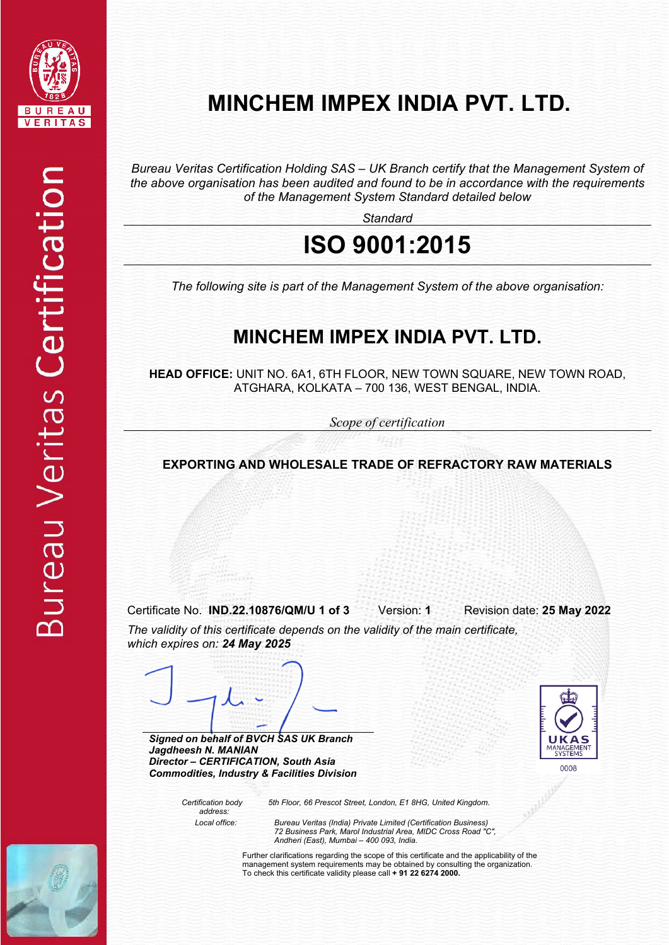

*Bureau Veritas Certification Holding SAS – UK Branch certify that the Management System of the above organisation has been audited and found to be in accordance with the requirements of the Management System Standard detailed below*

*Standard*

# **ISO 9001:2015**

*The following site is part of the Management System of the above organisation:*

# **MINCHEM IMPEX INDIA PVT. LTD.**

**HEAD OFFICE:** UNIT NO. 6A1, 6TH FLOOR, NEW TOWN SQUARE, NEW TOWN ROAD, ATGHARA, KOLKATA – 700 136, WEST BENGAL, INDIA.

*Scope of certification*

**EXPORTING AND WHOLESALE TRADE OF REFRACTORY RAW MATERIALS** 

Certificate No. **IND.22.10876/QM/U 1 of 3** Version: **1** Revision date: **25 May 2022**

*The validity of this certificate depends on the validity of the main certificate, which expires on: 24 May 2025*

*Signed on behalf of BVCH SAS UK Branch Jagdheesh N. MANIAN Director – CERTIFICATION, South Asia Commodities, Industry & Facilities Division* 



 *Certification body address:*

*5th Floor, 66 Prescot Street, London, E1 8HG, United Kingdom.* 

 *Local office: Bureau Veritas (India) Private Limited (Certification Business) 72 Business Park, Marol Industrial Area, MIDC Cross Road "C", Andheri (East), Mumbai – 400 093, India.*

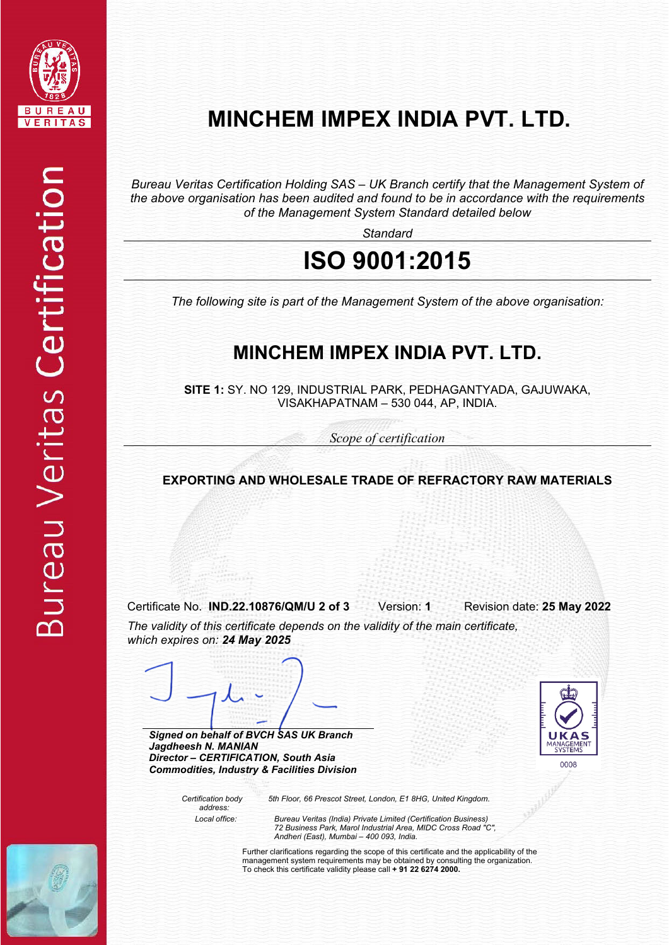

*Bureau Veritas Certification Holding SAS – UK Branch certify that the Management System of the above organisation has been audited and found to be in accordance with the requirements of the Management System Standard detailed below*

*Standard*

# **ISO 9001:2015**

*The following site is part of the Management System of the above organisation:*

# **MINCHEM IMPEX INDIA PVT. LTD.**

**SITE 1:** SY. NO 129, INDUSTRIAL PARK, PEDHAGANTYADA, GAJUWAKA, VISAKHAPATNAM – 530 044, AP, INDIA.

*Scope of certification*

### **EXPORTING AND WHOLESALE TRADE OF REFRACTORY RAW MATERIALS**

Certificate No. **IND.22.10876/QM/U 2 of 3** Version: **1** Revision date: **25 May 2022** *The validity of this certificate depends on the validity of the main certificate, which expires on: 24 May 2025*

*Signed on behalf of BVCH SAS UK Branch Jagdheesh N. MANIAN Director – CERTIFICATION, South Asia Commodities, Industry & Facilities Division* 



 *Certification body address:*

*5th Floor, 66 Prescot Street, London, E1 8HG, United Kingdom.* 

 *Local office: Bureau Veritas (India) Private Limited (Certification Business) 72 Business Park, Marol Industrial Area, MIDC Cross Road "C", Andheri (East), Mumbai – 400 093, India.*